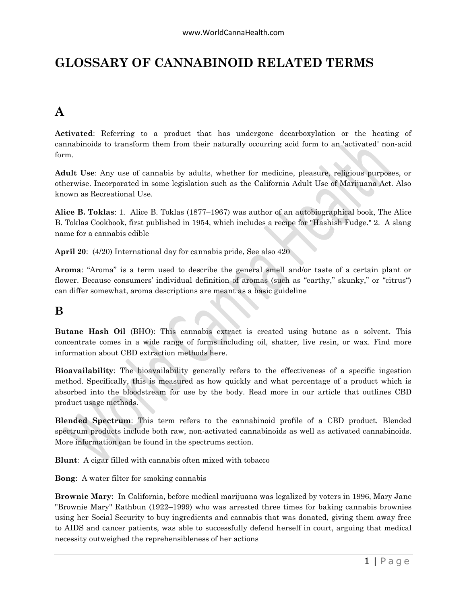## **GLOSSARY OF CANNABINOID RELATED TERMS**

# **A**

**Activated**: Referring to a product that has undergone decarboxylation or the heating of cannabinoids to transform them from their naturally occurring acid form to an 'activated' non-acid form.

**Adult Use**: Any use of cannabis by adults, whether for medicine, pleasure, religious purposes, or otherwise. Incorporated in some legislation such as the California Adult Use of Marijuana Act. Also known as Recreational Use.

**Alice B. Toklas**: 1. Alice B. Toklas (1877–1967) was author of an autobiographical book, The Alice B. Toklas Cookbook, first published in 1954, which includes a recipe for "Hashish Fudge." 2. A slang name for a cannabis edible

**April 20**: (4/20) International day for cannabis pride, See also 420

**Aroma**: "Aroma" is a term used to describe the general smell and/or taste of a certain plant or flower. Because consumers' individual definition of aromas (such as "earthy," skunky," or "citrus") can differ somewhat, aroma descriptions are meant as a basic guideline

#### **B**

**Butane Hash Oil** (BHO): This cannabis extract is created using butane as a solvent. This concentrate comes in a wide range of forms including oil, shatter, live resin, or wax. Find more information about CBD extraction methods here.

**Bioavailability**: The bioavailability generally refers to the effectiveness of a specific ingestion method. Specifically, this is measured as how quickly and what percentage of a product which is absorbed into the bloodstream for use by the body. Read more in our article that outlines CBD product usage methods.

**Blended Spectrum**: This term refers to the cannabinoid profile of a CBD product. Blended spectrum products include both raw, non-activated cannabinoids as well as activated cannabinoids. More information can be found in the spectrums section.

**Blunt**: A cigar filled with cannabis often mixed with tobacco

**Bong**: A water filter for smoking cannabis

**Brownie Mary**: In California, before medical marijuana was legalized by voters in 1996, Mary Jane "Brownie Mary" Rathbun (1922–1999) who was arrested three times for baking cannabis brownies using her Social Security to buy ingredients and cannabis that was donated, giving them away free to AIDS and cancer patients, was able to successfully defend herself in court, arguing that medical necessity outweighed the reprehensibleness of her actions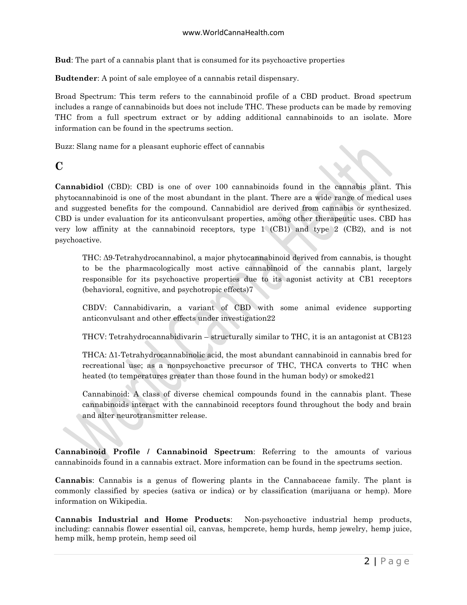**Bud**: The part of a cannabis plant that is consumed for its psychoactive properties

**Budtender**: A point of sale employee of a cannabis retail dispensary.

Broad Spectrum: This term refers to the cannabinoid profile of a CBD product. Broad spectrum includes a range of cannabinoids but does not include THC. These products can be made by removing THC from a full spectrum extract or by adding additional cannabinoids to an isolate. More information can be found in the spectrums section.

Buzz: Slang name for a pleasant euphoric effect of cannabis

### **C**

**Cannabidiol** (CBD): CBD is one of over 100 cannabinoids found in the cannabis plant. This phytocannabinoid is one of the most abundant in the plant. There are a wide range of medical uses and suggested benefits for the compound. Cannabidiol are derived from cannabis or synthesized. CBD is under evaluation for its anticonvulsant properties, among other therapeutic uses. CBD has very low affinity at the cannabinoid receptors, type 1 (CB1) and type 2 (CB2), and is not psychoactive.

THC: Δ9-Tetrahydrocannabinol, a major phytocannabinoid derived from cannabis, is thought to be the pharmacologically most active cannabinoid of the cannabis plant, largely responsible for its psychoactive properties due to its agonist activity at CB1 receptors (behavioral, cognitive, and psychotropic effects)7

CBDV: Cannabidivarin, a variant of CBD with some animal evidence supporting anticonvulsant and other effects under investigation22

THCV: Tetrahydrocannabidivarin – structurally similar to THC, it is an antagonist at CB123

THCA: Δ1-Tetrahydrocannabinolic acid, the most abundant cannabinoid in cannabis bred for recreational use; as a nonpsychoactive precursor of THC, THCA converts to THC when heated (to temperatures greater than those found in the human body) or smoked21

Cannabinoid: A class of diverse chemical compounds found in the cannabis plant. These cannabinoids interact with the cannabinoid receptors found throughout the body and brain and alter neurotransmitter release.

**Cannabinoid Profile / Cannabinoid Spectrum**: Referring to the amounts of various cannabinoids found in a cannabis extract. More information can be found in the spectrums section.

**Cannabis**: Cannabis is a genus of flowering plants in the Cannabaceae family. The plant is commonly classified by species (sativa or indica) or by classification (marijuana or hemp). More information on Wikipedia.

**Cannabis Industrial and Home Products**: Non-psychoactive industrial hemp products, including: cannabis flower essential oil, canvas, hempcrete, hemp hurds, hemp jewelry, hemp juice, hemp milk, hemp protein, hemp seed oil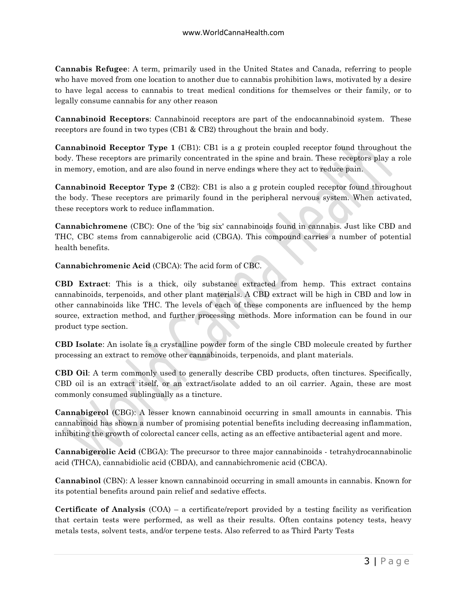**Cannabis Refugee**: A term, primarily used in the United States and Canada, referring to people who have moved from one location to another due to cannabis prohibition laws, motivated by a desire to have legal access to cannabis to treat medical conditions for themselves or their family, or to legally consume cannabis for any other reason

**Cannabinoid Receptors**: Cannabinoid receptors are part of the endocannabinoid system. These receptors are found in two types (CB1 & CB2) throughout the brain and body.

**Cannabinoid Receptor Type 1** (CB1): CB1 is a g protein coupled receptor found throughout the body. These receptors are primarily concentrated in the spine and brain. These receptors play a role in memory, emotion, and are also found in nerve endings where they act to reduce pain.

**Cannabinoid Receptor Type 2** (CB2): CB1 is also a g protein coupled receptor found throughout the body. These receptors are primarily found in the peripheral nervous system. When activated, these receptors work to reduce inflammation.

**Cannabichromene** (CBC): One of the 'big six' cannabinoids found in cannabis. Just like CBD and THC, CBC stems from cannabigerolic acid (CBGA). This compound carries a number of potential health benefits.

**Cannabichromenic Acid** (CBCA): The acid form of CBC.

**CBD Extract**: This is a thick, oily substance extracted from hemp. This extract contains cannabinoids, terpenoids, and other plant materials. A CBD extract will be high in CBD and low in other cannabinoids like THC. The levels of each of these components are influenced by the hemp source, extraction method, and further processing methods. More information can be found in our product type section.

**CBD Isolate**: An isolate is a crystalline powder form of the single CBD molecule created by further processing an extract to remove other cannabinoids, terpenoids, and plant materials.

**CBD Oil**: A term commonly used to generally describe CBD products, often tinctures. Specifically, CBD oil is an extract itself, or an extract/isolate added to an oil carrier. Again, these are most commonly consumed sublingually as a tincture.

**Cannabigerol** (CBG): A lesser known cannabinoid occurring in small amounts in cannabis. This cannabinoid has shown a number of promising potential benefits including decreasing inflammation, inhibiting the growth of colorectal cancer cells, acting as an effective antibacterial agent and more.

**Cannabigerolic Acid** (CBGA): The precursor to three major cannabinoids - tetrahydrocannabinolic acid (THCA), cannabidiolic acid (CBDA), and cannabichromenic acid (CBCA).

**Cannabinol** (CBN): A lesser known cannabinoid occurring in small amounts in cannabis. Known for its potential benefits around pain relief and sedative effects.

**Certificate of Analysis** (COA) – a certificate/report provided by a testing facility as verification that certain tests were performed, as well as their results. Often contains potency tests, heavy metals tests, solvent tests, and/or terpene tests. Also referred to as Third Party Tests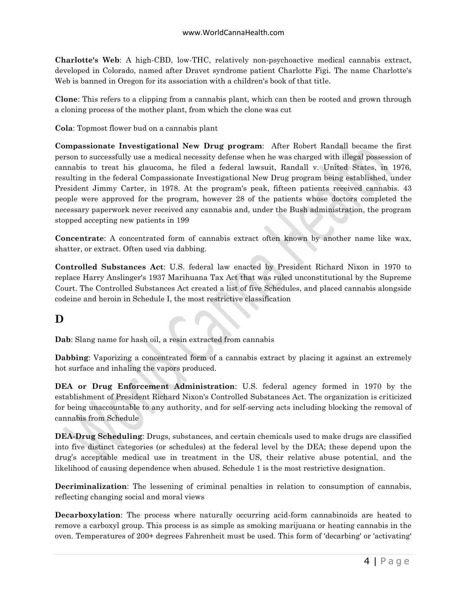**Charlotte's Web**: A high-CBD, low-THC, relatively non-psychoactive medical cannabis extract, developed in Colorado, named after Dravet syndrome patient Charlotte Figi. The name Charlotte's Web is banned in Oregon for its association with a children's book of that title.

**Clone**: This refers to a clipping from a cannabis plant, which can then be rooted and grown through a cloning process of the mother plant, from which the clone was cut

**Cola**: Topmost flower bud on a cannabis plant

**Compassionate Investigational New Drug program**: After Robert Randall became the first person to successfully use a medical necessity defense when he was charged with illegal possession of cannabis to treat his glaucoma, he filed a federal lawsuit, Randall v. United States, in 1976, resulting in the federal Compassionate Investigational New Drug program being established, under President Jimmy Carter, in 1978. At the program's peak, fifteen patients received cannabis. 43 people were approved for the program, however 28 of the patients whose doctors completed the necessary paperwork never received any cannabis and, under the Bush administration, the program stopped accepting new patients in 199

**Concentrate**: A concentrated form of cannabis extract often known by another name like wax, shatter, or extract. Often used via dabbing.

**Controlled Substances Act**: U.S. federal law enacted by President Richard Nixon in 1970 to replace Harry Anslinger's 1937 Marihuana Tax Act that was ruled unconstitutional by the Supreme Court. The Controlled Substances Act created a list of five Schedules, and placed cannabis alongside codeine and heroin in Schedule I, the most restrictive classification

## **D**

**Dab**: Slang name for hash oil, a resin extracted from cannabis

**Dabbing**: Vaporizing a concentrated form of a cannabis extract by placing it against an extremely hot surface and inhaling the vapors produced.

**DEA or Drug Enforcement Administration**: U.S. federal agency formed in 1970 by the establishment of President Richard Nixon's Controlled Substances Act. The organization is criticized for being unaccountable to any authority, and for self-serving acts including blocking the removal of cannabis from Schedule

**DEA-Drug Scheduling**: Drugs, substances, and certain chemicals used to make drugs are classified into five distinct categories (or schedules) at the federal level by the DEA; these depend upon the drug's acceptable medical use in treatment in the US, their relative abuse potential, and the likelihood of causing dependence when abused. Schedule 1 is the most restrictive designation.

**Decriminalization**: The lessening of criminal penalties in relation to consumption of cannabis, reflecting changing social and moral views

**Decarboxylation**: The process where naturally occurring acid-form cannabinoids are heated to remove a carboxyl group. This process is as simple as smoking marijuana or heating cannabis in the oven. Temperatures of 200+ degrees Fahrenheit must be used. This form of 'decarbing' or 'activating'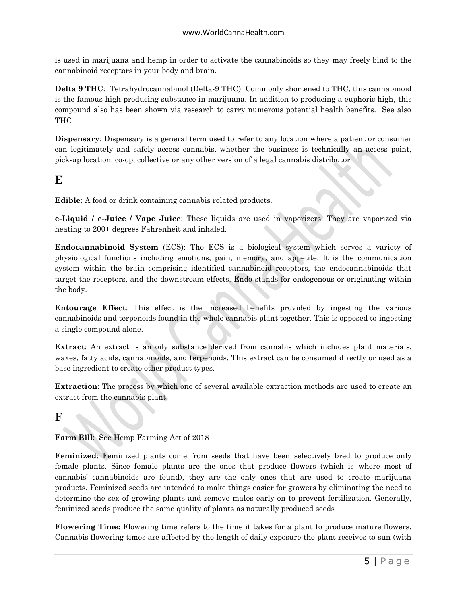is used in marijuana and hemp in order to activate the cannabinoids so they may freely bind to the cannabinoid receptors in your body and brain.

**Delta 9 THC**: Tetrahydrocannabinol (Delta-9 THC) Commonly shortened to THC, this cannabinoid is the famous high-producing substance in marijuana. In addition to producing a euphoric high, this compound also has been shown via research to carry numerous potential health benefits. See also THC

**Dispensary**: Dispensary is a general term used to refer to any location where a patient or consumer can legitimately and safely access cannabis, whether the business is technically an access point, pick-up location. co-op, collective or any other version of a legal cannabis distributor

### **E**

**Edible**: A food or drink containing cannabis related products.

**e-Liquid / e-Juice / Vape Juice**: These liquids are used in vaporizers. They are vaporized via heating to 200+ degrees Fahrenheit and inhaled.

**Endocannabinoid System** (ECS): The ECS is a biological system which serves a variety of physiological functions including emotions, pain, memory, and appetite. It is the communication system within the brain comprising identified cannabinoid receptors, the endocannabinoids that target the receptors, and the downstream effects. Endo stands for endogenous or originating within the body.

**Entourage Effect**: This effect is the increased benefits provided by ingesting the various cannabinoids and terpenoids found in the whole cannabis plant together. This is opposed to ingesting a single compound alone.

**Extract**: An extract is an oily substance derived from cannabis which includes plant materials, waxes, fatty acids, cannabinoids, and terpenoids. This extract can be consumed directly or used as a base ingredient to create other product types.

**Extraction**: The process by which one of several available extraction methods are used to create an extract from the cannabis plant.

## **F**

**Farm Bill**: See Hemp Farming Act of 2018

**Feminized**: Feminized plants come from seeds that have been selectively bred to produce only female plants. Since female plants are the ones that produce flowers (which is where most of cannabis' cannabinoids are found), they are the only ones that are used to create marijuana products. Feminized seeds are intended to make things easier for growers by eliminating the need to determine the sex of growing plants and remove males early on to prevent fertilization. Generally, feminized seeds produce the same quality of plants as naturally produced seeds

**Flowering Time:** Flowering time refers to the time it takes for a plant to produce mature flowers. Cannabis flowering times are affected by the length of daily exposure the plant receives to sun (with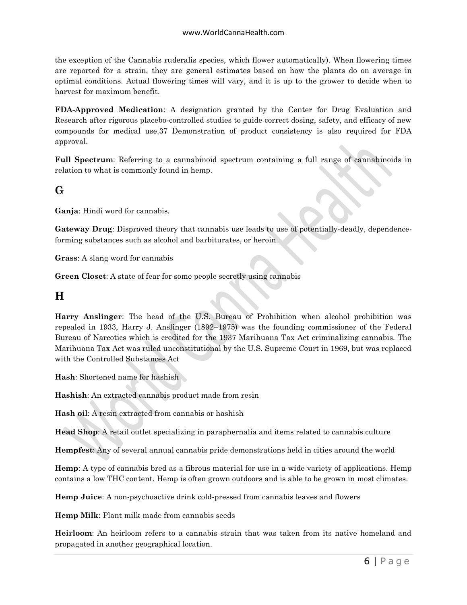the exception of the Cannabis ruderalis species, which flower automatically). When flowering times are reported for a strain, they are general estimates based on how the plants do on average in optimal conditions. Actual flowering times will vary, and it is up to the grower to decide when to harvest for maximum benefit.

**FDA-Approved Medication**: A designation granted by the Center for Drug Evaluation and Research after rigorous placebo-controlled studies to guide correct dosing, safety, and efficacy of new compounds for medical use.37 Demonstration of product consistency is also required for FDA approval.

**Full Spectrum**: Referring to a cannabinoid spectrum containing a full range of cannabinoids in relation to what is commonly found in hemp.

### **G**

**Ganja**: Hindi word for cannabis.

**Gateway Drug**: Disproved theory that cannabis use leads to use of potentially-deadly, dependenceforming substances such as alcohol and barbiturates, or heroin.

**Grass**: A slang word for cannabis

**Green Closet**: A state of fear for some people secretly using cannabis

#### **H**

**Harry Anslinger**: The head of the U.S. Bureau of Prohibition when alcohol prohibition was repealed in 1933, Harry J. Anslinger (1892–1975) was the founding commissioner of the Federal Bureau of Narcotics which is credited for the 1937 Marihuana Tax Act criminalizing cannabis. The Marihuana Tax Act was ruled unconstitutional by the U.S. Supreme Court in 1969, but was replaced with the Controlled Substances Act

**Hash**: Shortened name for hashish

**Hashish**: An extracted cannabis product made from resin

**Hash oil**: A resin extracted from cannabis or hashish

**Head Shop**: A retail outlet specializing in paraphernalia and items related to cannabis culture

**Hempfest**: Any of several annual cannabis pride demonstrations held in cities around the world

**Hemp**: A type of cannabis bred as a fibrous material for use in a wide variety of applications. Hemp contains a low THC content. Hemp is often grown outdoors and is able to be grown in most climates.

**Hemp Juice**: A non-psychoactive drink cold-pressed from cannabis leaves and flowers

**Hemp Milk**: Plant milk made from cannabis seeds

**Heirloom**: An heirloom refers to a cannabis strain that was taken from its native homeland and propagated in another geographical location.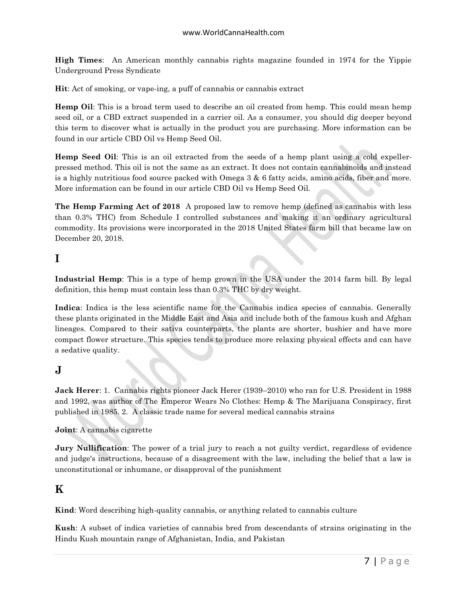**High Times**: An American monthly cannabis rights magazine founded in 1974 for the Yippie Underground Press Syndicate

**Hit**: Act of smoking, or vape-ing, a puff of cannabis or cannabis extract

**Hemp Oil**: This is a broad term used to describe an oil created from hemp. This could mean hemp seed oil, or a CBD extract suspended in a carrier oil. As a consumer, you should dig deeper beyond this term to discover what is actually in the product you are purchasing. More information can be found in our article CBD Oil vs Hemp Seed Oil.

**Hemp Seed Oil**: This is an oil extracted from the seeds of a hemp plant using a cold expellerpressed method. This oil is not the same as an extract. It does not contain cannabinoids and instead is a highly nutritious food source packed with Omega 3 & 6 fatty acids, amino acids, fiber and more. More information can be found in our article CBD Oil vs Hemp Seed Oil.

**The Hemp Farming Act of 2018** A proposed law to remove hemp (defined as cannabis with less than 0.3% THC) from Schedule I controlled substances and making it an ordinary agricultural commodity. Its provisions were incorporated in the 2018 United States farm bill that became law on December 20, 2018.

#### **I**

**Industrial Hemp**: This is a type of hemp grown in the USA under the 2014 farm bill. By legal definition, this hemp must contain less than 0.3% THC by dry weight.

**Indica**: Indica is the less scientific name for the Cannabis indica species of cannabis. Generally these plants originated in the Middle East and Asia and include both of the famous kush and Afghan lineages. Compared to their sativa counterparts, the plants are shorter, bushier and have more compact flower structure. This species tends to produce more relaxing physical effects and can have a sedative quality.

#### **J**

**Jack Herer**: 1. Cannabis rights pioneer Jack Herer (1939–2010) who ran for U.S. President in 1988 and 1992, was author of The Emperor Wears No Clothes: Hemp & The Marijuana Conspiracy, first published in 1985. 2. A classic trade name for several medical cannabis strains

#### **Joint**: A cannabis cigarette

**Jury Nullification**: The power of a trial jury to reach a not guilty verdict, regardless of evidence and judge's instructions, because of a disagreement with the law, including the belief that a law is unconstitutional or inhumane, or disapproval of the punishment

### **K**

**Kind**: Word describing high-quality cannabis, or anything related to cannabis culture

**Kush**: A subset of indica varieties of cannabis bred from descendants of strains originating in the Hindu Kush mountain range of Afghanistan, India, and Pakistan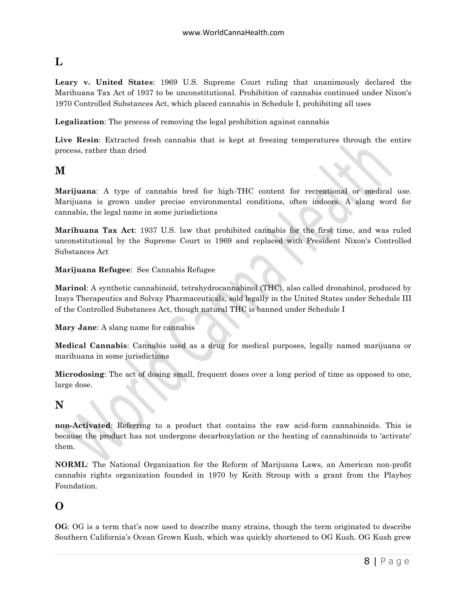## **L**

**Leary v. United States**: 1969 U.S. Supreme Court ruling that unanimously declared the Marihuana Tax Act of 1937 to be unconstitutional. Prohibition of cannabis continued under Nixon's 1970 Controlled Substances Act, which placed cannabis in Schedule I, prohibiting all uses

**Legalization**: The process of removing the legal prohibition against cannabis

Live Resin: Extracted fresh cannabis that is kept at freezing temperatures through the entire process, rather than dried

#### **M**

**Marijuana**: A type of cannabis bred for high-THC content for recreational or medical use. Marijuana is grown under precise environmental conditions, often indoors. A slang word for cannabis, the legal name in some jurisdictions

**Marihuana Tax Act**: 1937 U.S. law that prohibited cannabis for the first time, and was ruled unconstitutional by the Supreme Court in 1969 and replaced with President Nixon's Controlled Substances Act

**Marijuana Refugee**: See Cannabis Refugee

**Marinol**: A synthetic cannabinoid, tetrahydrocannabinol (THC), also called dronabinol, produced by Insys Therapeutics and Solvay Pharmaceuticals, sold legally in the United States under Schedule III of the Controlled Substances Act, though natural THC is banned under Schedule I

**Mary Jane**: A slang name for cannabis

**Medical Cannabis**: Cannabis used as a drug for medical purposes, legally named marijuana or marihuana in some jurisdictions

**Microdosing**: The act of dosing small, frequent doses over a long period of time as opposed to one, large dose.

#### **N**

**non-Activated**: Referring to a product that contains the raw acid-form cannabinoids. This is because the product has not undergone decarboxylation or the heating of cannabinoids to 'activate' them.

**NORML**: The National Organization for the Reform of Marijuana Laws, an American non-profit cannabis rights organization founded in 1970 by Keith Stroup with a grant from the Playboy Foundation.

#### **O**

**OG**: OG is a term that's now used to describe many strains, though the term originated to describe Southern California's Ocean Grown Kush, which was quickly shortened to OG Kush. OG Kush grew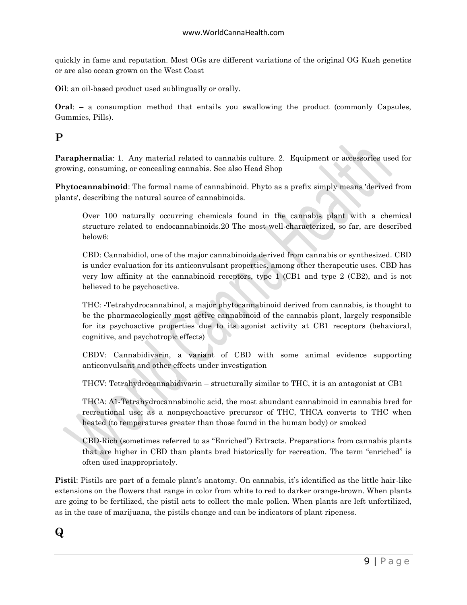quickly in fame and reputation. Most OGs are different variations of the original OG Kush genetics or are also ocean grown on the West Coast

**Oil**: an oil-based product used sublingually or orally.

**Oral**: – a consumption method that entails you swallowing the product (commonly Capsules, Gummies, Pills).

## **P**

**Paraphernalia**: 1. Any material related to cannabis culture. 2. Equipment or accessories used for growing, consuming, or concealing cannabis. See also Head Shop

**Phytocannabinoid**: The formal name of cannabinoid. Phyto as a prefix simply means 'derived from plants', describing the natural source of cannabinoids.

Over 100 naturally occurring chemicals found in the cannabis plant with a chemical structure related to endocannabinoids.20 The most well-characterized, so far, are described below6:

CBD: Cannabidiol, one of the major cannabinoids derived from cannabis or synthesized. CBD is under evaluation for its anticonvulsant properties, among other therapeutic uses. CBD has very low affinity at the cannabinoid receptors, type 1 (CB1 and type 2 (CB2), and is not believed to be psychoactive.

THC: -Tetrahydrocannabinol, a major phytocannabinoid derived from cannabis, is thought to be the pharmacologically most active cannabinoid of the cannabis plant, largely responsible for its psychoactive properties due to its agonist activity at CB1 receptors (behavioral, cognitive, and psychotropic effects)

CBDV: Cannabidivarin, a variant of CBD with some animal evidence supporting anticonvulsant and other effects under investigation

THCV: Tetrahydrocannabidivarin – structurally similar to THC, it is an antagonist at CB1

THCA: Δ1-Tetrahydrocannabinolic acid, the most abundant cannabinoid in cannabis bred for recreational use; as a nonpsychoactive precursor of THC, THCA converts to THC when heated (to temperatures greater than those found in the human body) or smoked

CBD-Rich (sometimes referred to as "Enriched") Extracts. Preparations from cannabis plants that are higher in CBD than plants bred historically for recreation. The term "enriched" is often used inappropriately.

**Pistil**: Pistils are part of a female plant's anatomy. On cannabis, it's identified as the little hair-like extensions on the flowers that range in color from white to red to darker orange-brown. When plants are going to be fertilized, the pistil acts to collect the male pollen. When plants are left unfertilized, as in the case of marijuana, the pistils change and can be indicators of plant ripeness.

## **Q**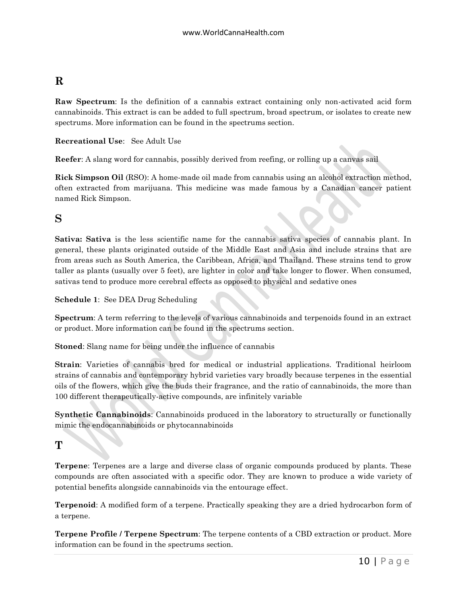## **R**

**Raw Spectrum**: Is the definition of a cannabis extract containing only non-activated acid form cannabinoids. This extract is can be added to full spectrum, broad spectrum, or isolates to create new spectrums. More information can be found in the spectrums section.

**Recreational Use**: See Adult Use

**Reefer**: A slang word for cannabis, possibly derived from reefing, or rolling up a canvas sail

**Rick Simpson Oil** (RSO): A home-made oil made from cannabis using an alcohol extraction method, often extracted from marijuana. This medicine was made famous by a Canadian cancer patient named Rick Simpson.

#### **S**

**Sativa: Sativa** is the less scientific name for the cannabis sativa species of cannabis plant. In general, these plants originated outside of the Middle East and Asia and include strains that are from areas such as South America, the Caribbean, Africa, and Thailand. These strains tend to grow taller as plants (usually over 5 feet), are lighter in color and take longer to flower. When consumed, sativas tend to produce more cerebral effects as opposed to physical and sedative ones

**Schedule 1**: See DEA Drug Scheduling

**Spectrum**: A term referring to the levels of various cannabinoids and terpenoids found in an extract or product. More information can be found in the spectrums section.

**Stoned**: Slang name for being under the influence of cannabis

**Strain**: Varieties of cannabis bred for medical or industrial applications. Traditional heirloom strains of cannabis and contemporary hybrid varieties vary broadly because terpenes in the essential oils of the flowers, which give the buds their fragrance, and the ratio of cannabinoids, the more than 100 different therapeutically-active compounds, are infinitely variable

**Synthetic Cannabinoids**: Cannabinoids produced in the laboratory to structurally or functionally mimic the endocannabinoids or phytocannabinoids

### **T**

**Terpene**: Terpenes are a large and diverse class of organic compounds produced by plants. These compounds are often associated with a specific odor. They are known to produce a wide variety of potential benefits alongside cannabinoids via the entourage effect.

**Terpenoid**: A modified form of a terpene. Practically speaking they are a dried hydrocarbon form of a terpene.

**Terpene Profile / Terpene Spectrum**: The terpene contents of a CBD extraction or product. More information can be found in the spectrums section.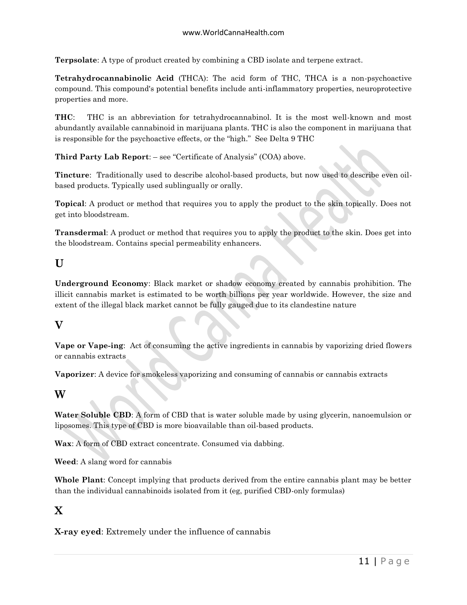**Terpsolate**: A type of product created by combining a CBD isolate and terpene extract.

**Tetrahydrocannabinolic Acid** (THCA): The acid form of THC, THCA is a non-psychoactive compound. This compound's potential benefits include anti-inflammatory properties, neuroprotective properties and more.

**THC**: THC is an abbreviation for tetrahydrocannabinol. It is the most well-known and most abundantly available cannabinoid in marijuana plants. THC is also the component in marijuana that is responsible for the psychoactive effects, or the "high." See Delta 9 THC

**Third Party Lab Report**: – see "Certificate of Analysis" (COA) above.

**Tincture**: Traditionally used to describe alcohol-based products, but now used to describe even oilbased products. Typically used sublingually or orally.

**Topical**: A product or method that requires you to apply the product to the skin topically. Does not get into bloodstream.

**Transdermal**: A product or method that requires you to apply the product to the skin. Does get into the bloodstream. Contains special permeability enhancers.

#### **U**

**Underground Economy**: Black market or shadow economy created by cannabis prohibition. The illicit cannabis market is estimated to be worth billions per year worldwide. However, the size and extent of the illegal black market cannot be fully gauged due to its clandestine nature

#### **V**

**Vape or Vape-ing**: Act of consuming the active ingredients in cannabis by vaporizing dried flowers or cannabis extracts

**Vaporizer**: A device for smokeless vaporizing and consuming of cannabis or cannabis extracts

#### **W**

**Water Soluble CBD**: A form of CBD that is water soluble made by using glycerin, nanoemulsion or liposomes. This type of CBD is more bioavailable than oil-based products.

**Wax**: A form of CBD extract concentrate. Consumed via dabbing.

**Weed**: A slang word for cannabis

**Whole Plant**: Concept implying that products derived from the entire cannabis plant may be better than the individual cannabinoids isolated from it (eg, purified CBD-only formulas)

#### **X**

**X-ray eyed**: Extremely under the influence of cannabis